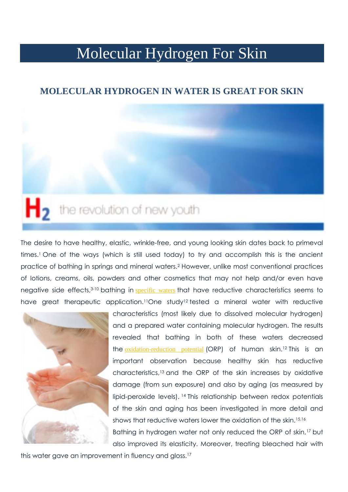# Molecular Hydrogen For Skin

### **MOLECULAR HYDROGEN IN WATER IS GREAT FOR SKIN**

# not the revolution of new youth

The desire to have healthy, elastic, wrinkle-free, and young looking skin dates back to primeval times.<sup>1</sup> One of the ways (which is still used today) to try and accomplish this is the ancient practice of bathing in springs and mineral waters.<sup>2</sup> However, unlike most conventional practices of lotions, creams, oils, powders and other cosmetics that may not help and/or even have negative side effects,<sup>3-10</sup> bathing in **[specific waters](http://www.molecularhydrogeninstitute.com/)** that have reductive characteristics seems to have great therapeutic application.<sup>11</sup>One study<sup>12</sup> tested a mineral water with reductive



characteristics (most likely due to dissolved molecular hydrogen) and a prepared water containing molecular hydrogen. The results revealed that bathing in both of these waters decreased the [oxidation-reduction potential](http://www.molecularhydrogeninstitute.com/oxidation-reduction-potential-orp-explained/) (ORP) of human skin.<sup>12</sup> This is an important observation because healthy skin has reductive characteristics,<sup>13</sup> and the ORP of the skin increases by oxidative damage (from sun exposure) and also by aging (as measured by lipid-peroxide levels). <sup>14</sup> This relationship between redox potentials of the skin and aging has been investigated in more detail and shows that reductive waters lower the oxidation of the skin.15,16 Bathing in hydrogen water not only reduced the ORP of skin,<sup>17</sup> but also improved its elasticity. Moreover, treating bleached hair with

this water gave an improvement in fluency and gloss.<sup>17</sup>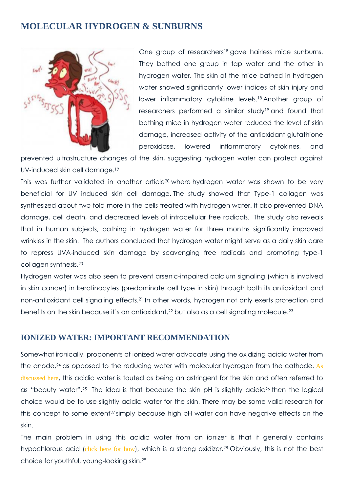## **MOLECULAR HYDROGEN & SUNBURNS**



One group of researchers<sup>18</sup> gave hairless mice sunburns. They bathed one group in tap water and the other in hydrogen water. The skin of the mice bathed in hydrogen water showed significantly lower indices of skin injury and lower inflammatory cytokine levels.<sup>18</sup> Another group of researchers performed a similar study<sup>19</sup> and found that bathing mice in hydrogen water reduced the level of skin damage, increased activity of the antioxidant glutathione peroxidase, lowered inflammatory cytokines, and

prevented ultrastructure changes of the skin, suggesting hydrogen water can protect against UV-induced skin cell damage.<sup>19</sup>

This was further validated in another article<sup>20</sup> where hydrogen water was shown to be very beneficial for UV induced skin cell damage. The study showed that Type-1 collagen was synthesized about two-fold more in the cells treated with hydrogen water. It also prevented DNA damage, cell death, and decreased levels of intracellular free radicals. The study also reveals that in human subjects, bathing in hydrogen water for three months significantly improved wrinkles in the skin. The authors concluded that hydrogen water might serve as a daily skin care to repress UVA-induced skin damage by scavenging free radicals and promoting type-1 collagen synthesis.<sup>20</sup>

Hydrogen water was also seen to prevent arsenic-impaired calcium signaling (which is involved in skin cancer) in keratinocytes (predominate cell type in skin) through both its antioxidant and non-antioxidant cell signaling effects.<sup>21</sup> In other words, hydrogen not only exerts protection and benefits on the skin because it's an antioxidant,<sup>22</sup> but also as a cell signaling molecule.<sup>23</sup>

#### **IONIZED WATER: IMPORTANT RECOMMENDATION**

Somewhat ironically, proponents of ionized water advocate using the oxidizing acidic water from the anode,<sup>24</sup> as opposed to the reducing water with molecular hydrogen from the cathode. As [discussed here](http://www.molecularhydrogeninstitute.com/core-information/mildly-acidic-water/), this acidic water is touted as being an astringent for the skin and often referred to as "beauty water".<sup>25</sup> The idea is that because the skin pH is slightly acidic<sup>26</sup> then the logical choice would be to use slightly acidic water for the skin. There may be some valid research for this concept to some extent<sup>27</sup> simply because high pH water can have negative effects on the skin.

The main problem in using this acidic water from an ionizer is that it generally contains hypochlorous acid ([click here for how](http://www.molecularhydrogeninstitute.com/core-information/electrolysis/)), which is a strong oxidizer.<sup>28</sup> Obviously, this is not the best choice for youthful, young-looking skin.29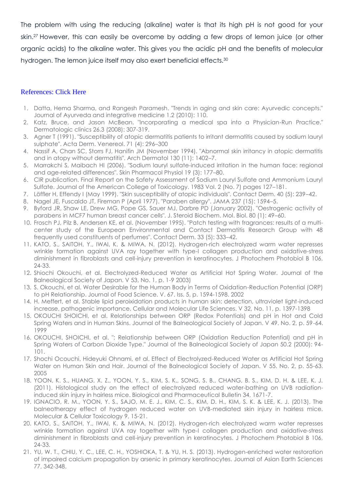The problem with using the reducing (alkaline) water is that its high pH is not good for your skin.<sup>27</sup> However, this can easily be overcome by adding a few drops of lemon juice (or other organic acids) to the alkaline water. This gives you the acidic pH and the benefits of molecular hydrogen. The lemon juice itself may also exert beneficial effects.<sup>30</sup>

#### [References: Click Here](http://www.molecularhydrogeninstitute.com/molecular-hydrogen-for-skin#ac_603_collapse1)

- 1. Datta, Hema Sharma, and Rangesh Paramesh. "Trends in aging and skin care: Ayurvedic concepts." Journal of Ayurveda and integrative medicine 1.2 (2010): 110.
- 2. Katz, Bruce, and Jason McBean. "Incorporating a medical spa into a Physician-Run Practice." Dermatologic clinics 26.3 (2008): 307-319.
- 3. Agner T (1991). "Susceptibility of atopic dermatitis patients to irritant dermatitis caused by sodium lauryl sulphate". Acta Derm. Venereol. 71 (4): 296–300
- 4. Nassif A, Chan SC, Storrs FJ, Hanifin JM (November 1994). "Abnormal skin irritancy in atopic dermatitis and in atopy without dermatitis". Arch Dermatol 130 (11): 1402–7.
- 5. Marrakchi S, Maibach HI (2006). "Sodium lauryl sulfate-induced irritation in the human face: regional and age-related differences". Skin Pharmacol Physiol 19 (3): 177–80.
- 6. CIR publication. Final Report on the Safety Assessment of Sodium Lauryl Sulfate and Ammonium Lauryl Sulfate. Journal of the American College of Toxicology. 1983 Vol. 2 (No. 7) pages 127–181.
- 7. Löffler H, Effendy I (May 1999). "Skin susceptibility of atopic individuals". Contact Derm. 40 (5): 239–42.
- 8. Nagel JE, Fuscaldo JT, Fireman P (April 1977). "Paraben allergy". JAMA 237 (15): 1594–5.
- 9. Byford JR, Shaw LE, Drew MG, Pope GS, Sauer MJ, Darbre PD (January 2002). "Oestrogenic activity of parabens in MCF7 human breast cancer cells". J. Steroid Biochem. Mol. Biol. 80 (1): 49–60.
- 10. Frosch PJ, Pilz B, Andersen KE, et al. (November 1995). "Patch testing with fragrances: results of a multicenter study of the European Environmental and Contact Dermatitis Research Group with 48 frequently used constituents of perfumes". Contact Derm. 33 (5): 333–42.
- 11. KATO, S., SAITOH, Y., IWAI, K. & MIWA, N. (2012). Hydrogen-rich electrolyzed warm water represses wrinkle formation against UVA ray together with type-I collagen production and oxidative-stress diminishment in fibroblasts and cell-injury prevention in keratinocytes. J Photochem Photobiol B 106, 24-33.
- 12. Shiochi Okouchi, et al. Electrolyzed-Reduced Water as Artificial Hot Spring Water. Journal of the Balneological Society of Japan. V 53, No. 1, p. 1-9 2003)
- 13. S. Okouchi, et al. Water Desirable for the Human Body in Terms of Oxidation-Reduction Potential (ORP) to pH Relationship. Journal of Food Science. V. 67. Iss. 5, p. 1594-1598. 2002
- 14. H. Meffert, et al. Stable lipid peroixidation products in human skin: detection, ultraviolet light-induced increase, pathogenic importance. Cellular and Molecular Life Sciences. V 32, No. 11, p. 1397-1398
- 15. OKOUCHI SHOICHI, et al. Relationships between ORP (Redox Potentials) and pH in Hot and Cold Spring Waters and in Human Skins. Journal of the Balneological Society of Japan. V 49. No. 2, p. 59-64. 1999
- 16. OKOUCHI, SHOICHI, et al. "; Relationship between ORP (Oxidation Reduction Potential) and pH in Spring Waters of Carbon Dioxide Type." Journal of the Balneological Society of Japan 50.2 (2000): 94- 101.
- 17. Shochi Ocouchi, Hideyuki Ohnami, et al. Effect of Electrolyzed-Reduced Water as Artificial Hot Spring Water on Human Skin and Hair. Journal of the Balneological Society of Japan. V 55. No. 2, p. 55-63. 2005
- 18. YOON, K. S., HUANG, X. Z., YOON, Y. S., KIM, S. K., SONG, S. B., CHANG, B. S., KIM, D. H. & LEE, K. J. (2011). Histological study on the effect of electrolyzed reduced water-bathing on UVB radiationinduced skin injury in hairless mice. Biological and Pharmaceutical Bulletin 34, 1671-7.
- 19. IGNACIO, R. M., YOON, Y. S., SAJO, M. E. J., KIM, C. S., KIM, D. H., KIM, S. K. & LEE, K. J. (2013). The balneotherapy effect of hydrogen reduced water on UVB-mediated skin injury in hairless mice. Molecular & Cellular Toxicology 9, 15-21.
- 20. KATO, S., SAITOH, Y., IWAI, K. & MIWA, N. (2012). Hydrogen-rich electrolyzed warm water represses wrinkle formation against UVA ray together with type-I collagen production and oxidative-stress diminishment in fibroblasts and cell-injury prevention in keratinocytes. J Photochem Photobiol B 106, 24-33.
- 21. YU, W. T., CHIU, Y. C., LEE, C. H., YOSHIOKA, T. & YU, H. S. (2013). Hydrogen-enriched water restoration of impaired calcium propagation by arsenic in primary keratinocytes. Journal of Asian Earth Sciences 77, 342-348.